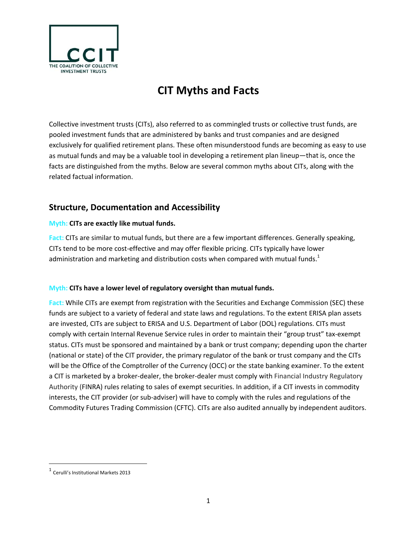

# **CIT Myths and Facts**

Collective investment trusts (CITs), also referred to as commingled trusts or collective trust funds, are pooled investment funds that are administered by banks and trust companies and are designed exclusively for qualified retirement plans. These often misunderstood funds are becoming as easy to use as mutual funds and may be a valuable tool in developing a retirement plan lineup—that is, once the facts are distinguished from the myths. Below are several common myths about CITs, along with the related factual information.

# **Structure, Documentation and Accessibility**

### **Myth: CITs are exactly like mutual funds.**

**Fact:** CITs are similar to mutual funds, but there are a few important differences. Generally speaking, CITs tend to be more cost‐effective and may offer flexible pricing. CITs typically have lower administration and marketing and distribution costs when compared with mutual funds.<sup>1</sup>

## **Myth: CITs have a lower level of regulatory oversight than mutual funds.**

**Fact:** While CITs are exempt from registration with the Securities and Exchange Commission (SEC) these funds are subject to a variety of federal and state laws and regulations. To the extent ERISA plan assets are invested, CITs are subject to ERISA and U.S. Department of Labor (DOL) regulations. CITs must comply with certain Internal Revenue Service rules in order to maintain their "group trust" tax‐exempt status. CITs must be sponsored and maintained by a bank or trust company; depending upon the charter (national or state) of the CIT provider, the primary regulator of the bank or trust company and the CITs will be the Office of the Comptroller of the Currency (OCC) or the state banking examiner. To the extent a CIT is marketed by a broker‐dealer, the broker‐dealer must comply with Financial Industry Regulatory Authority (FINRA) rules relating to sales of exempt securities. In addition, if a CIT invests in commodity interests, the CIT provider (or sub‐adviser) will have to comply with the rules and regulations of the Commodity Futures Trading Commission (CFTC). CITs are also audited annually by independent auditors.

<sup>1</sup> Cerulli's Institutional Markets <sup>2013</sup>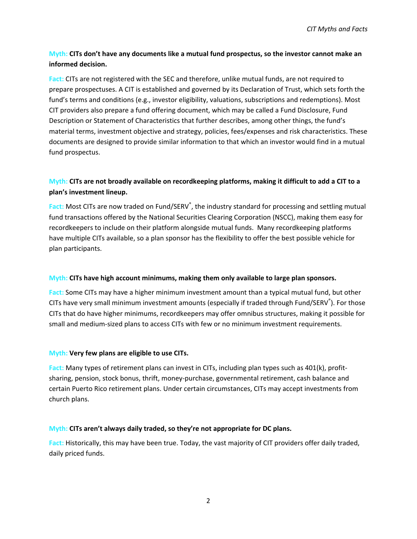# **Myth: CITs don't have any documents like a mutual fund prospectus, so the investor cannot make an informed decision.**

**Fact:** CITs are not registered with the SEC and therefore, unlike mutual funds, are not required to prepare prospectuses. A CIT is established and governed by its Declaration of Trust, which sets forth the fund's terms and conditions (e.g., investor eligibility, valuations, subscriptions and redemptions). Most CIT providers also prepare a fund offering document, which may be called a Fund Disclosure, Fund Description or Statement of Characteristics that further describes, among other things, the fund's material terms, investment objective and strategy, policies, fees/expenses and risk characteristics. These documents are designed to provide similar information to that which an investor would find in a mutual fund prospectus.

# Myth: CITs are not broadly available on recordkeeping platforms, making it difficult to add a CIT to a **plan's investment lineup.**

Fact: Most CITs are now traded on Fund/SERV<sup>®</sup>, the industry standard for processing and settling mutual fund transactions offered by the National Securities Clearing Corporation (NSCC), making them easy for recordkeepers to include on their platform alongside mutual funds. Many recordkeeping platforms have multiple CITs available, so a plan sponsor has the flexibility to offer the best possible vehicle for plan participants.

#### **Myth: CITs have high account minimums, making them only available to large plan sponsors.**

**Fact:** Some CITs may have a higher minimum investment amount than a typical mutual fund, but other CITs have very small minimum investment amounts (especially if traded through Fund/SERV $\degree$ ). For those CITs that do have higher minimums, recordkeepers may offer omnibus structures, making it possible for small and medium‐sized plans to access CITs with few or no minimum investment requirements.

#### **Myth: Very few plans are eligible to use CITs.**

**Fact:** Many types of retirement plans can invest in CITs, including plan types such as 401(k), profit‐ sharing, pension, stock bonus, thrift, money-purchase, governmental retirement, cash balance and certain Puerto Rico retirement plans. Under certain circumstances, CITs may accept investments from church plans.

#### **Myth: CITs aren't always daily traded, so they're not appropriate for DC plans.**

**Fact:** Historically, this may have been true. Today, the vast majority of CIT providers offer daily traded, daily priced funds.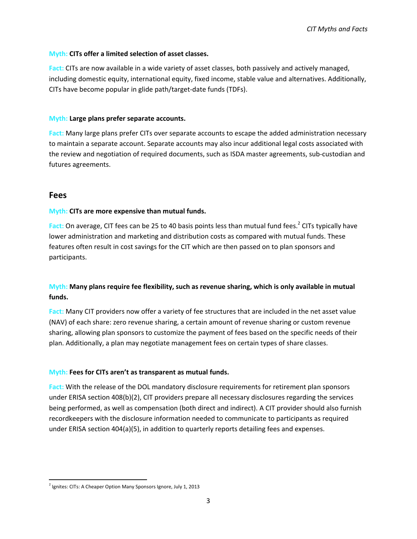#### **Myth: CITs offer a limited selection of asset classes.**

**Fact:** CITs are now available in a wide variety of asset classes, both passively and actively managed, including domestic equity, international equity, fixed income, stable value and alternatives. Additionally, CITs have become popular in glide path/target‐date funds (TDFs).

#### **Myth: Large plans prefer separate accounts.**

**Fact:** Many large plans prefer CITs over separate accounts to escape the added administration necessary to maintain a separate account. Separate accounts may also incur additional legal costs associated with the review and negotiation of required documents, such as ISDA master agreements, sub-custodian and futures agreements.

### **Fees**

#### **Myth: CITs are more expensive than mutual funds.**

**Fact:** On average, CIT fees can be 25 to 40 basis points less than mutual fund fees.<sup>2</sup> CITs typically have lower administration and marketing and distribution costs as compared with mutual funds. These features often result in cost savings for the CIT which are then passed on to plan sponsors and participants.

# **Myth: Many plans require fee flexibility, such as revenue sharing, which is only available in mutual funds.**

**Fact:** Many CIT providers now offer a variety of fee structures that are included in the net asset value (NAV) of each share: zero revenue sharing, a certain amount of revenue sharing or custom revenue sharing, allowing plan sponsors to customize the payment of fees based on the specific needs of their plan. Additionally, a plan may negotiate management fees on certain types of share classes.

#### **Myth: Fees for CITs aren't as transparent as mutual funds.**

**Fact:** With the release of the DOL mandatory disclosure requirements for retirement plan sponsors under ERISA section 408(b)(2), CIT providers prepare all necessary disclosures regarding the services being performed, as well as compensation (both direct and indirect). A CIT provider should also furnish recordkeepers with the disclosure information needed to communicate to participants as required under ERISA section 404(a)(5), in addition to quarterly reports detailing fees and expenses.

 $2$  Ignites: CITs: A Cheaper Option Many Sponsors Ignore, July 1, 2013